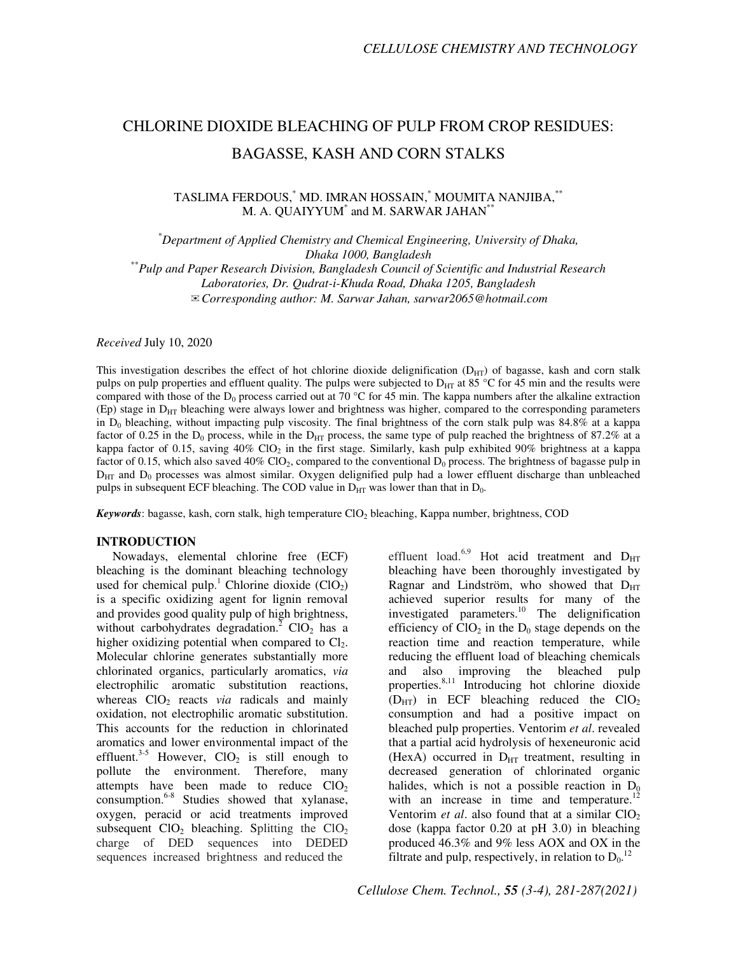# CHLORINE DIOXIDE BLEACHING OF PULP FROM CROP RESIDUES: BAGASSE, KASH AND CORN STALKS

# TASLIMA FERDOUS,\* MD. IMRAN HOSSAIN,\* MOUMITA NANJIBA,\*\* M. A. QUAIYYUM\* and M. SARWAR JAHAN\*\*

\**Department of Applied Chemistry and Chemical Engineering, University of Dhaka, Dhaka 1000, Bangladesh* 

\*\**Pulp and Paper Research Division, Bangladesh Council of Scientific and Industrial Research Laboratories, Dr. Qudrat-i-Khuda Road, Dhaka 1205, Bangladesh*  ✉*Corresponding author: M. Sarwar Jahan, sarwar2065@hotmail.com* 

*Received* July 10, 2020

This investigation describes the effect of hot chlorine dioxide delignification  $(D_{HT})$  of bagasse, kash and corn stalk pulps on pulp properties and effluent quality. The pulps were subjected to  $D_{HT}$  at 85 °C for 45 min and the results were compared with those of the D<sub>0</sub> process carried out at 70 °C for 45 min. The kappa numbers after the alkaline extraction (Ep) stage in DHT bleaching were always lower and brightness was higher, compared to the corresponding parameters in  $D_0$  bleaching, without impacting pulp viscosity. The final brightness of the corn stalk pulp was 84.8% at a kappa factor of 0.25 in the  $D_0$  process, while in the  $D_{HT}$  process, the same type of pulp reached the brightness of 87.2% at a kappa factor of 0.15, saving 40% ClO<sub>2</sub> in the first stage. Similarly, kash pulp exhibited 90% brightness at a kappa factor of 0.15, which also saved 40% ClO<sub>2</sub>, compared to the conventional  $D_0$  process. The brightness of bagasse pulp in  $D_{\text{HT}}$  and  $D_0$  processes was almost similar. Oxygen delignified pulp had a lower effluent discharge than unbleached pulps in subsequent ECF bleaching. The COD value in  $D_{HT}$  was lower than that in  $D_0$ .

*Keywords*: bagasse, kash, corn stalk, high temperature ClO2 bleaching, Kappa number, brightness, COD

### **INTRODUCTION**

Nowadays, elemental chlorine free (ECF) bleaching is the dominant bleaching technology used for chemical pulp.<sup>1</sup> Chlorine dioxide  $(CIO<sub>2</sub>)$ is a specific oxidizing agent for lignin removal and provides good quality pulp of high brightness, without carbohydrates degradation.<sup>2</sup> ClO<sub>2</sub> has a higher oxidizing potential when compared to  $Cl<sub>2</sub>$ . Molecular chlorine generates substantially more chlorinated organics, particularly aromatics, *via* electrophilic aromatic substitution reactions, whereas  $CIO_2$  reacts *via* radicals and mainly oxidation, not electrophilic aromatic substitution. This accounts for the reduction in chlorinated aromatics and lower environmental impact of the effluent.<sup>3-5</sup> However,  $ClO<sub>2</sub>$  is still enough to pollute the environment. Therefore, many attempts have been made to reduce  $ClO<sub>2</sub>$ consumption.6-8 Studies showed that xylanase, oxygen, peracid or acid treatments improved subsequent  $ClO<sub>2</sub>$  bleaching. Splitting the  $ClO<sub>2</sub>$ charge of DED sequences into DEDED sequences increased brightness and reduced the

effluent load.<sup>6,9</sup> Hot acid treatment and  $D_{HT}$ bleaching have been thoroughly investigated by Ragnar and Lindström, who showed that  $D_{HT}$ achieved superior results for many of the investigated parameters.<sup>10</sup> The delignification efficiency of  $ClO<sub>2</sub>$  in the  $D<sub>0</sub>$  stage depends on the reaction time and reaction temperature, while reducing the effluent load of bleaching chemicals and also improving the bleached pulp properties.8,11 Introducing hot chlorine dioxide  $(D_{HT})$  in ECF bleaching reduced the ClO<sub>2</sub> consumption and had a positive impact on bleached pulp properties. Ventorim *et al*. revealed that a partial acid hydrolysis of hexeneuronic acid (HexA) occurred in  $D_{HT}$  treatment, resulting in decreased generation of chlorinated organic halides, which is not a possible reaction in  $D_0$ with an increase in time and temperature.<sup>12</sup> Ventorim *et al.* also found that at a similar  $ClO<sub>2</sub>$ dose (kappa factor 0.20 at pH 3.0) in bleaching produced 46.3% and 9% less AOX and OX in the filtrate and pulp, respectively, in relation to  $D_0$ .<sup>12</sup>

*Cellulose Chem. Technol., 55 (3-4), 281-287(2021)*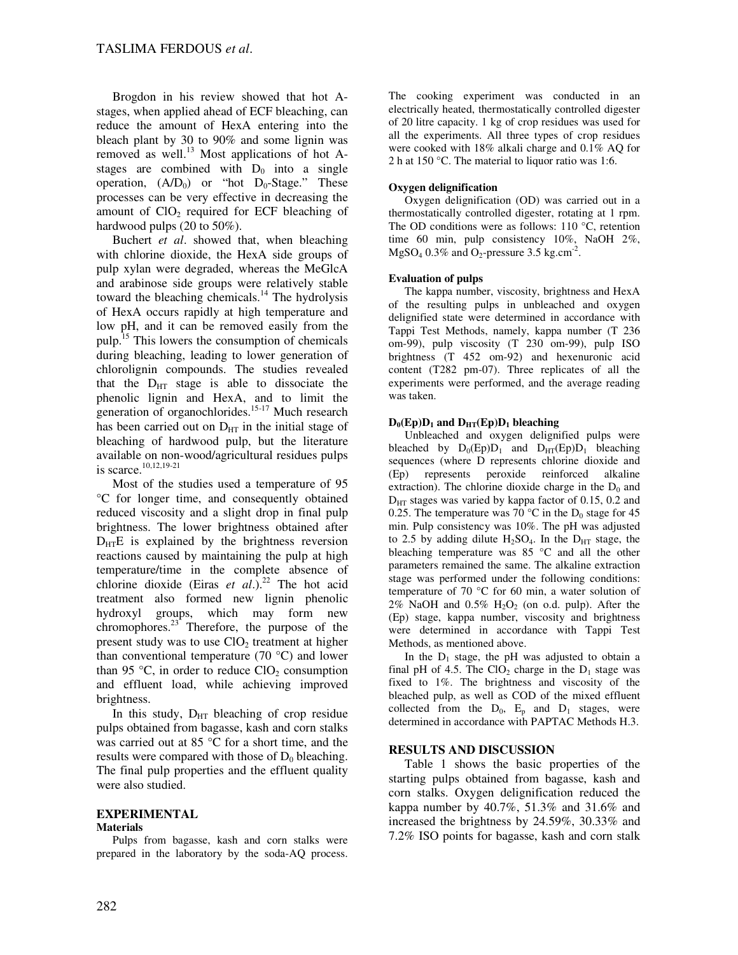Brogdon in his review showed that hot Astages, when applied ahead of ECF bleaching, can reduce the amount of HexA entering into the bleach plant by 30 to 90% and some lignin was removed as well.<sup>13</sup> Most applications of hot Astages are combined with  $D_0$  into a single operation,  $(A/D_0)$  or "hot  $D_0$ -Stage." These processes can be very effective in decreasing the amount of  $ClO<sub>2</sub>$  required for ECF bleaching of hardwood pulps (20 to 50%).

Buchert *et al*. showed that, when bleaching with chlorine dioxide, the HexA side groups of pulp xylan were degraded, whereas the MeGlcA and arabinose side groups were relatively stable toward the bleaching chemicals.<sup>14</sup> The hydrolysis of HexA occurs rapidly at high temperature and low pH, and it can be removed easily from the pulp.<sup>15</sup> This lowers the consumption of chemicals during bleaching, leading to lower generation of chlorolignin compounds. The studies revealed that the  $D_{\text{HT}}$  stage is able to dissociate the phenolic lignin and HexA, and to limit the generation of organochlorides.<sup>15-17</sup> Much research has been carried out on  $D_{HT}$  in the initial stage of bleaching of hardwood pulp, but the literature available on non-wood/agricultural residues pulps is scarce.10,12,19-21

Most of the studies used a temperature of 95 °C for longer time, and consequently obtained reduced viscosity and a slight drop in final pulp brightness. The lower brightness obtained after  $D_{\text{HT}}E$  is explained by the brightness reversion reactions caused by maintaining the pulp at high temperature/time in the complete absence of chlorine dioxide (Eiras *et al.*).<sup>22</sup> The hot acid treatment also formed new lignin phenolic hydroxyl groups, which may form new chromophores. $^{23}$  Therefore, the purpose of the present study was to use  $CIO<sub>2</sub>$  treatment at higher than conventional temperature  $(70 \degree C)$  and lower than 95  $\degree$ C, in order to reduce ClO<sub>2</sub> consumption and effluent load, while achieving improved brightness.

In this study,  $D_{HT}$  bleaching of crop residue pulps obtained from bagasse, kash and corn stalks was carried out at 85 °C for a short time, and the results were compared with those of  $D_0$  bleaching. The final pulp properties and the effluent quality were also studied.

# **EXPERIMENTAL**

#### **Materials**

Pulps from bagasse, kash and corn stalks were prepared in the laboratory by the soda-AQ process. The cooking experiment was conducted in an electrically heated, thermostatically controlled digester of 20 litre capacity. 1 kg of crop residues was used for all the experiments. All three types of crop residues were cooked with 18% alkali charge and 0.1% AQ for 2 h at 150 °C. The material to liquor ratio was 1:6.

## **Oxygen delignification**

Oxygen delignification (OD) was carried out in a thermostatically controlled digester, rotating at 1 rpm. The OD conditions were as follows: 110 °C, retention time 60 min, pulp consistency 10%, NaOH 2%, MgSO<sub>4</sub> 0.3% and O<sub>2</sub>-pressure 3.5 kg.cm<sup>-2</sup>.

### **Evaluation of pulps**

The kappa number, viscosity, brightness and HexA of the resulting pulps in unbleached and oxygen delignified state were determined in accordance with Tappi Test Methods, namely, kappa number (T 236 om-99), pulp viscosity (T 230 om-99), pulp ISO brightness (T 452 om-92) and hexenuronic acid content (T282 pm-07). Three replicates of all the experiments were performed, and the average reading was taken.

### $D_0$ (Ep) $D_1$  and  $D_{HT}$ (Ep) $D_1$  bleaching

Unbleached and oxygen delignified pulps were bleached by  $D_0(Ep)D_1$  and  $D_{HT}(Ep)D_1$  bleaching sequences (where D represents chlorine dioxide and (Ep) represents peroxide reinforced alkaline extraction). The chlorine dioxide charge in the  $D_0$  and  $D_{\text{HT}}$  stages was varied by kappa factor of 0.15, 0.2 and 0.25. The temperature was 70 °C in the  $D_0$  stage for 45 min. Pulp consistency was 10%. The pH was adjusted to 2.5 by adding dilute  $H_2SO_4$ . In the  $D_{HT}$  stage, the bleaching temperature was 85 °C and all the other parameters remained the same. The alkaline extraction stage was performed under the following conditions: temperature of 70 °C for 60 min, a water solution of  $2\%$  NaOH and 0.5%  $H_2O_2$  (on o.d. pulp). After the (Ep) stage, kappa number, viscosity and brightness were determined in accordance with Tappi Test Methods, as mentioned above.

In the  $D_1$  stage, the pH was adjusted to obtain a final pH of 4.5. The  $ClO<sub>2</sub>$  charge in the  $D<sub>1</sub>$  stage was fixed to 1%. The brightness and viscosity of the bleached pulp, as well as COD of the mixed effluent collected from the  $D_0$ ,  $E_p$  and  $D_1$  stages, were determined in accordance with PAPTAC Methods H.3.

## **RESULTS AND DISCUSSION**

Table 1 shows the basic properties of the starting pulps obtained from bagasse, kash and corn stalks. Oxygen delignification reduced the kappa number by 40.7%, 51.3% and 31.6% and increased the brightness by 24.59%, 30.33% and 7.2% ISO points for bagasse, kash and corn stalk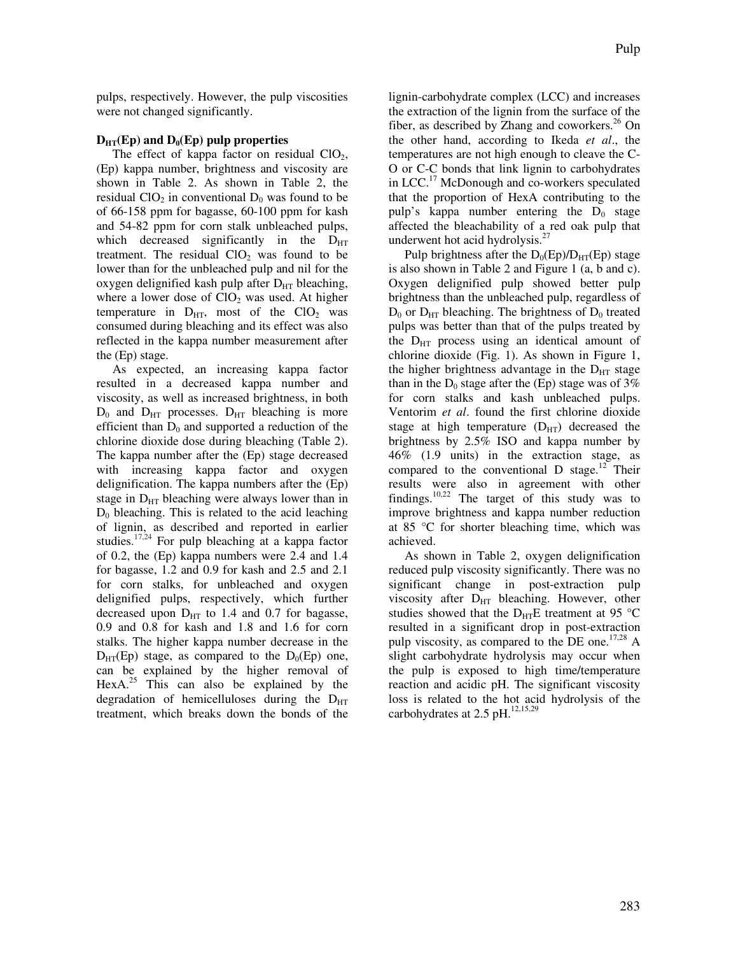pulps, respectively. However, the pulp viscosities were not changed significantly.

### $D_{\text{HT}}(Ep)$  and  $D_0(Ep)$  pulp properties

The effect of kappa factor on residual  $ClO<sub>2</sub>$ , (Ep) kappa number, brightness and viscosity are shown in Table 2. As shown in Table 2, the residual  $ClO<sub>2</sub>$  in conventional  $D<sub>0</sub>$  was found to be of 66-158 ppm for bagasse, 60-100 ppm for kash and 54-82 ppm for corn stalk unbleached pulps, which decreased significantly in the  $D_{HT}$ treatment. The residual  $ClO<sub>2</sub>$  was found to be lower than for the unbleached pulp and nil for the oxygen delignified kash pulp after  $D_{HT}$  bleaching, where a lower dose of  $ClO<sub>2</sub>$  was used. At higher temperature in  $D_{HT}$ , most of the  $ClO<sub>2</sub>$  was consumed during bleaching and its effect was also reflected in the kappa number measurement after the (Ep) stage.

As expected, an increasing kappa factor resulted in a decreased kappa number and viscosity, as well as increased brightness, in both  $D_0$  and  $D_{HT}$  processes.  $D_{HT}$  bleaching is more efficient than  $D_0$  and supported a reduction of the chlorine dioxide dose during bleaching (Table 2). The kappa number after the (Ep) stage decreased with increasing kappa factor and oxygen delignification. The kappa numbers after the (Ep) stage in  $D_{HT}$  bleaching were always lower than in  $D_0$  bleaching. This is related to the acid leaching of lignin, as described and reported in earlier studies.<sup>17,24</sup> For pulp bleaching at a kappa factor of 0.2, the (Ep) kappa numbers were 2.4 and 1.4 for bagasse, 1.2 and 0.9 for kash and 2.5 and 2.1 for corn stalks, for unbleached and oxygen delignified pulps, respectively, which further decreased upon  $D_{HT}$  to 1.4 and 0.7 for bagasse, 0.9 and 0.8 for kash and 1.8 and 1.6 for corn stalks. The higher kappa number decrease in the  $D_{\text{HT}}(Ep)$  stage, as compared to the  $D_0(Ep)$  one, can be explained by the higher removal of HexA.<sup>25</sup> This can also be explained by the degradation of hemicelluloses during the  $D_{HT}$ treatment, which breaks down the bonds of the

lignin-carbohydrate complex (LCC) and increases the extraction of the lignin from the surface of the fiber, as described by Zhang and coworkers. $^{26}$  On the other hand, according to Ikeda *et al*., the temperatures are not high enough to cleave the C-O or C-C bonds that link lignin to carbohydrates in LCC.<sup>17</sup> McDonough and co-workers speculated that the proportion of HexA contributing to the pulp's kappa number entering the  $D_0$  stage affected the bleachability of a red oak pulp that underwent hot acid hydrolysis.<sup>27</sup>

Pulp brightness after the  $D_0(Ep)/D_{HT}(Ep)$  stage is also shown in Table 2 and Figure 1 (a, b and c). Oxygen delignified pulp showed better pulp brightness than the unbleached pulp, regardless of  $D_0$  or  $D_{HT}$  bleaching. The brightness of  $D_0$  treated pulps was better than that of the pulps treated by the  $D_{\text{HT}}$  process using an identical amount of chlorine dioxide (Fig. 1). As shown in Figure 1, the higher brightness advantage in the  $D_{\text{HT}}$  stage than in the  $D_0$  stage after the (Ep) stage was of 3% for corn stalks and kash unbleached pulps. Ventorim *et al*. found the first chlorine dioxide stage at high temperature  $(D_{HT})$  decreased the brightness by 2.5% ISO and kappa number by 46% (1.9 units) in the extraction stage, as compared to the conventional D stage.<sup>12</sup> Their results were also in agreement with other findings.10,22 The target of this study was to improve brightness and kappa number reduction at 85 °C for shorter bleaching time, which was achieved.

As shown in Table 2, oxygen delignification reduced pulp viscosity significantly. There was no significant change in post-extraction pulp viscosity after  $D_{HT}$  bleaching. However, other studies showed that the  $D_{HT}E$  treatment at 95 °C resulted in a significant drop in post-extraction pulp viscosity, as compared to the DE one.<sup>17,28</sup> A slight carbohydrate hydrolysis may occur when the pulp is exposed to high time/temperature reaction and acidic pH. The significant viscosity loss is related to the hot acid hydrolysis of the carbohydrates at  $2.5$  pH.<sup>12,15,29</sup>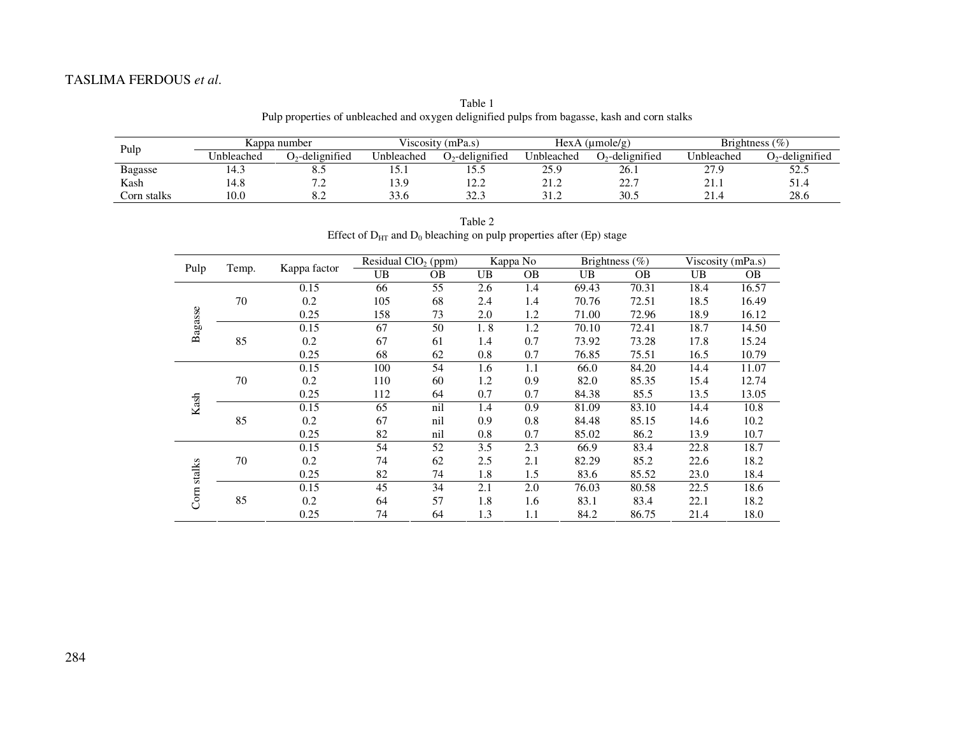# TASLIMA FERDOUS *et al*.

Table 1 Pulp properties of unbleached and oxygen delignified pulps from bagasse, kash and corn stalks

| Pulp           | Kappa number |                               | Viscosity (mPa.s) |                    | HexA (umole/g) |                    | Brightness $(\% )$ |                   |
|----------------|--------------|-------------------------------|-------------------|--------------------|----------------|--------------------|--------------------|-------------------|
|                | Unbleached   | $O_2$ -delignified            | Unbleached        | $O_2$ -delignified | Unbleached     | $O_2$ -delignified | Unbleached         | $D2$ -delignified |
| <b>Bagasse</b> | 14.3         | <u> o</u>                     | 19.1              | 1 J . J            | 25.9           | 26.1               | 27.9               | 52.5              |
| Kash           | .4.8         | $\sim$ $\sim$<br>. .          | 13.9              | 1 ງງ<br>12.Z       | 41.Z           | 227<br><u>.</u>    | 21.1               | 51.4              |
| Corn stalks    | 0.0          | $\mathbf{u} \cdot \mathbf{v}$ | 33.6              | 22.2<br>ن د ساک    | ے ، ر          | 30.5               | 21 <sub>4</sub>    | 28.6              |

Table 2 Effect of  $D_{HT}$  and  $D_0$  bleaching on pulp properties after (Ep) stage

|               | Temp. | Kappa factor | Residual ClO <sub>2</sub> (ppm) |           | Kappa No  |           | Brightness $(\%)$ |           | Viscosity (mPa.s) |           |
|---------------|-------|--------------|---------------------------------|-----------|-----------|-----------|-------------------|-----------|-------------------|-----------|
| Pulp          |       |              | UB                              | <b>OB</b> | <b>UB</b> | <b>OB</b> | UB                | <b>OB</b> | <b>UB</b>         | <b>OB</b> |
| Bagasse       |       | 0.15         | 66                              | 55        | 2.6       | 1.4       | 69.43             | 70.31     | 18.4              | 16.57     |
|               | 70    | 0.2          | 105                             | 68        | 2.4       | 1.4       | 70.76             | 72.51     | 18.5              | 16.49     |
|               |       | 0.25         | 158                             | 73        | 2.0       | 1.2       | 71.00             | 72.96     | 18.9              | 16.12     |
|               |       | 0.15         | 67                              | 50        | 1.8       | 1.2       | 70.10             | 72.41     | 18.7              | 14.50     |
|               | 85    | 0.2          | 67                              | 61        | 1.4       | 0.7       | 73.92             | 73.28     | 17.8              | 15.24     |
|               |       | 0.25         | 68                              | 62        | 0.8       | 0.7       | 76.85             | 75.51     | 16.5              | 10.79     |
| Kash          |       | 0.15         | 100                             | 54        | 1.6       | 1.1       | 66.0              | 84.20     | 14.4              | 11.07     |
|               | 70    | 0.2          | 110                             | 60        | 1.2       | 0.9       | 82.0              | 85.35     | 15.4              | 12.74     |
|               |       | 0.25         | 112                             | 64        | 0.7       | 0.7       | 84.38             | 85.5      | 13.5              | 13.05     |
|               |       | 0.15         | 65                              | nil       | 1.4       | 0.9       | 81.09             | 83.10     | 14.4              | 10.8      |
|               | 85    | 0.2          | 67                              | nil       | 0.9       | 0.8       | 84.48             | 85.15     | 14.6              | 10.2      |
|               |       | 0.25         | 82                              | nil       | 0.8       | 0.7       | 85.02             | 86.2      | 13.9              | 10.7      |
| stalks<br>Com | 70    | 0.15         | 54                              | 52        | 3.5       | 2.3       | 66.9              | 83.4      | 22.8              | 18.7      |
|               |       | 0.2          | 74                              | 62        | 2.5       | 2.1       | 82.29             | 85.2      | 22.6              | 18.2      |
|               |       | 0.25         | 82                              | 74        | 1.8       | 1.5       | 83.6              | 85.52     | 23.0              | 18.4      |
|               |       | 0.15         | 45                              | 34        | 2.1       | 2.0       | 76.03             | 80.58     | 22.5              | 18.6      |
|               | 85    | 0.2          | 64                              | 57        | 1.8       | 1.6       | 83.1              | 83.4      | 22.1              | 18.2      |
|               |       | 0.25         | 74                              | 64        | 1.3       | 1.1       | 84.2              | 86.75     | 21.4              | 18.0      |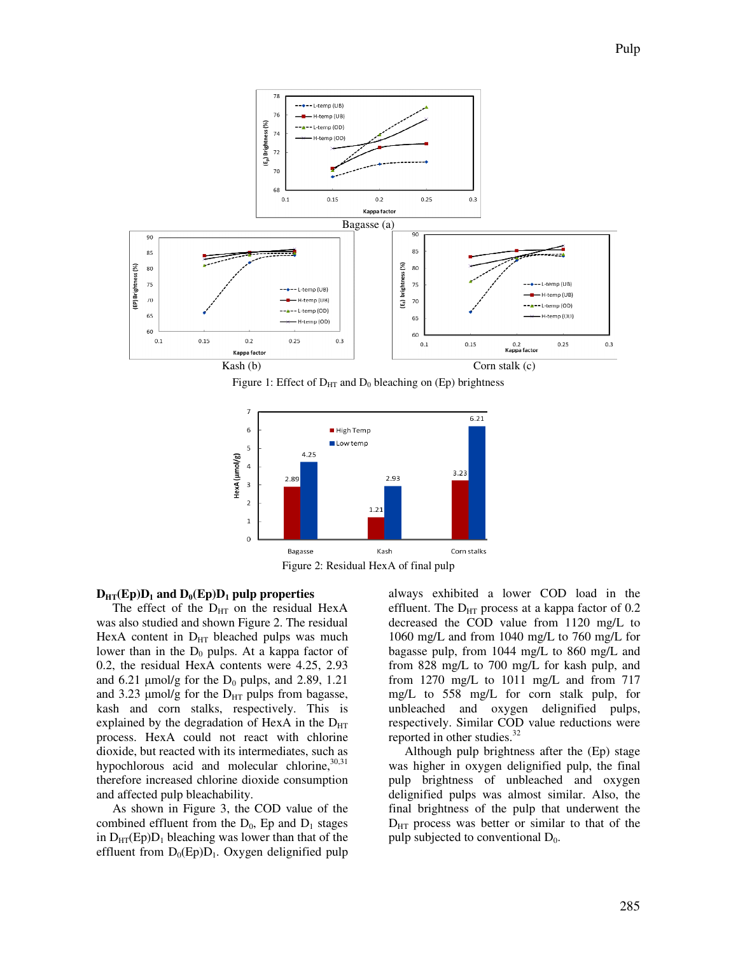

Figure 1: Effect of  $D_{HT}$  and  $D_0$  bleaching on (Ep) brightness



Figure 2: Residual HexA of final pulp

#### $D_{\text{HT}}(Ep)D_1$  and  $D_0(Ep)D_1$  pulp properties

The effect of the  $D_{HT}$  on the residual HexA was also studied and shown Figure 2. The residual HexA content in  $D_{HT}$  bleached pulps was much lower than in the  $D_0$  pulps. At a kappa factor of 0.2, the residual HexA contents were 4.25, 2.93 and 6.21  $\mu$ mol/g for the D<sub>0</sub> pulps, and 2.89, 1.21 and 3.23  $\mu$ mol/g for the D<sub>HT</sub> pulps from bagasse, kash and corn stalks, respectively. This is explained by the degradation of HexA in the  $D_{HT}$ process. HexA could not react with chlorine dioxide, but reacted with its intermediates, such as hypochlorous acid and molecular chlorine,  $30,31$ therefore increased chlorine dioxide consumption and affected pulp bleachability.

As shown in Figure 3, the COD value of the combined effluent from the  $D_0$ , Ep and  $D_1$  stages in  $D_{HT}(Ep)D_1$  bleaching was lower than that of the effluent from  $D_0(Ep)D_1$ . Oxygen delignified pulp always exhibited a lower COD load in the effluent. The  $D_{HT}$  process at a kappa factor of 0.2 decreased the COD value from 1120 mg/L to 1060 mg/L and from 1040 mg/L to 760 mg/L for bagasse pulp, from 1044 mg/L to 860 mg/L and from 828 mg/L to 700 mg/L for kash pulp, and from 1270 mg/L to 1011 mg/L and from 717 mg/L to 558 mg/L for corn stalk pulp, for unbleached and oxygen delignified pulps, respectively. Similar COD value reductions were reported in other studies.<sup>32</sup>

Although pulp brightness after the (Ep) stage was higher in oxygen delignified pulp, the final pulp brightness of unbleached and oxygen delignified pulps was almost similar. Also, the final brightness of the pulp that underwent the  $D_{\text{HT}}$  process was better or similar to that of the pulp subjected to conventional  $D_0$ .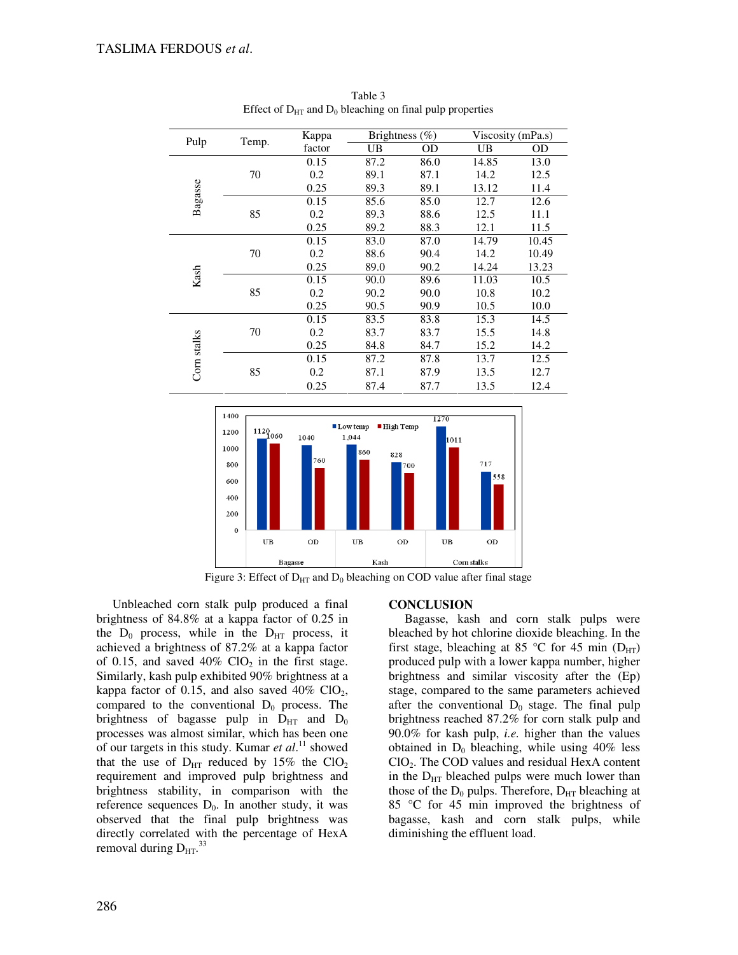| Pulp        |       | Kappa  | Brightness (%) |      | Viscosity (mPa.s) |       |
|-------------|-------|--------|----------------|------|-------------------|-------|
|             | Temp. | factor | UB             | OD   | UB                | OD    |
| Bagasse     |       | 0.15   | 87.2           | 86.0 | 14.85             | 13.0  |
|             | 70    | 0.2    | 89.1           | 87.1 | 14.2              | 12.5  |
|             |       | 0.25   | 89.3           | 89.1 | 13.12             | 11.4  |
|             |       | 0.15   | 85.6           | 85.0 | 12.7              | 12.6  |
|             | 85    | 0.2    | 89.3           | 88.6 | 12.5              | 11.1  |
|             |       | 0.25   | 89.2           | 88.3 | 12.1              | 11.5  |
|             |       | 0.15   | 83.0           | 87.0 | 14.79             | 10.45 |
|             | 70    | 0.2    | 88.6           | 90.4 | 14.2              | 10.49 |
|             |       | 0.25   | 89.0           | 90.2 | 14.24             | 13.23 |
| Kash        |       | 0.15   | 90.0           | 89.6 | 11.03             | 10.5  |
|             | 85    | 0.2    | 90.2           | 90.0 | 10.8              | 10.2  |
|             |       | 0.25   | 90.5           | 90.9 | 10.5              | 10.0  |
|             |       | 0.15   | 83.5           | 83.8 | 15.3              | 14.5  |
|             | 70    | 0.2    | 83.7           | 83.7 | 15.5              | 14.8  |
| Corn stalks |       | 0.25   | 84.8           | 84.7 | 15.2              | 14.2  |
|             |       | 0.15   | 87.2           | 87.8 | 13.7              | 12.5  |
|             | 85    | 0.2    | 87.1           | 87.9 | 13.5              | 12.7  |
|             |       | 0.25   | 87.4           | 87.7 | 13.5              | 12.4  |

Table 3 Effect of  $D_{HT}$  and  $D_0$  bleaching on final pulp properties



Figure 3: Effect of  $D_{HT}$  and  $D_0$  bleaching on COD value after final stage

Unbleached corn stalk pulp produced a final brightness of 84.8% at a kappa factor of 0.25 in the  $D_0$  process, while in the  $D_{HT}$  process, it achieved a brightness of 87.2% at a kappa factor of 0.15, and saved  $40\%$  ClO<sub>2</sub> in the first stage. Similarly, kash pulp exhibited 90% brightness at a kappa factor of 0.15, and also saved  $40\%$  ClO<sub>2</sub>, compared to the conventional  $D_0$  process. The brightness of bagasse pulp in  $D_{HT}$  and  $D_0$ processes was almost similar, which has been one of our targets in this study. Kumar *et al*. <sup>11</sup> showed that the use of  $D_{\text{HT}}$  reduced by 15% the ClO<sub>2</sub> requirement and improved pulp brightness and brightness stability, in comparison with the reference sequences  $D_0$ . In another study, it was observed that the final pulp brightness was directly correlated with the percentage of HexA removal during  $D_{HT}$ .<sup>33</sup>

#### **CONCLUSION**

Bagasse, kash and corn stalk pulps were bleached by hot chlorine dioxide bleaching. In the first stage, bleaching at 85 °C for 45 min  $(D_{HT})$ produced pulp with a lower kappa number, higher brightness and similar viscosity after the (Ep) stage, compared to the same parameters achieved after the conventional  $D_0$  stage. The final pulp brightness reached 87.2% for corn stalk pulp and 90.0% for kash pulp, *i.e.* higher than the values obtained in  $D_0$  bleaching, while using 40% less ClO2. The COD values and residual HexA content in the  $D_{HT}$  bleached pulps were much lower than those of the  $D_0$  pulps. Therefore,  $D_{\text{HT}}$  bleaching at 85 °C for 45 min improved the brightness of bagasse, kash and corn stalk pulps, while diminishing the effluent load.